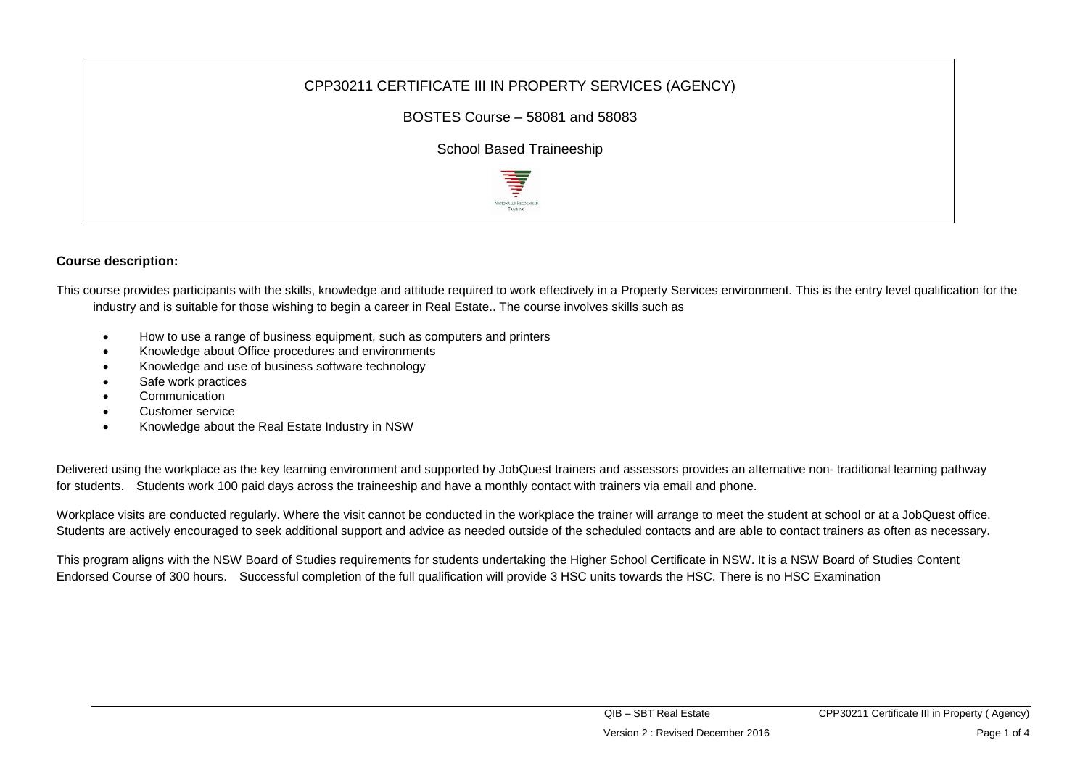

## **Course description:**

This course provides participants with the skills, knowledge and attitude required to work effectively in a Property Services environment. This is the entry level qualification for the industry and is suitable for those wishing to begin a career in Real Estate.. The course involves skills such as

- How to use a range of business equipment, such as computers and printers
- Knowledge about Office procedures and environments
- Knowledge and use of business software technology
- Safe work practices
- **Communication**
- Customer service
- Knowledge about the Real Estate Industry in NSW

Delivered using the workplace as the key learning environment and supported by JobQuest trainers and assessors provides an alternative non- traditional learning pathway for students. Students work 100 paid days across the traineeship and have a monthly contact with trainers via email and phone.

Workplace visits are conducted regularly. Where the visit cannot be conducted in the workplace the trainer will arrange to meet the student at school or at a JobQuest office. Students are actively encouraged to seek additional support and advice as needed outside of the scheduled contacts and are able to contact trainers as often as necessary.

This program aligns with the NSW Board of Studies requirements for students undertaking the Higher School Certificate in NSW. It is a NSW Board of Studies Content Endorsed Course of 300 hours. Successful completion of the full qualification will provide 3 HSC units towards the HSC. There is no HSC Examination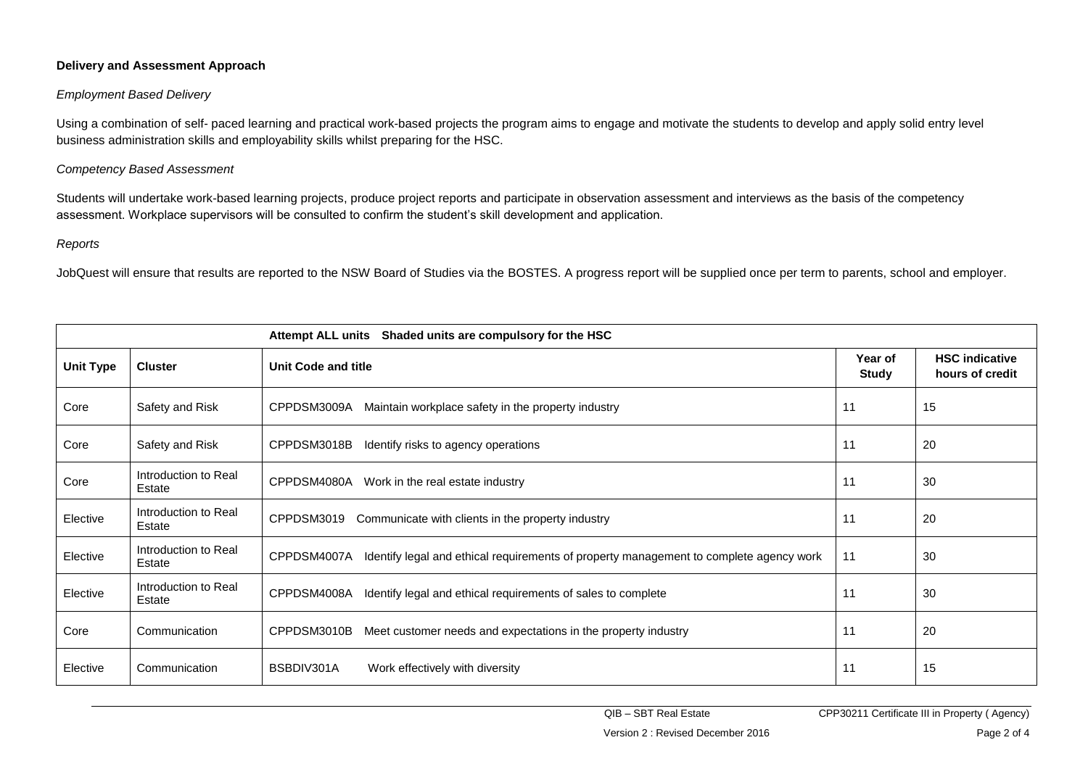## **Delivery and Assessment Approach**

## *Employment Based Delivery*

Using a combination of self- paced learning and practical work-based projects the program aims to engage and motivate the students to develop and apply solid entry level business administration skills and employability skills whilst preparing for the HSC.

#### *Competency Based Assessment*

Students will undertake work-based learning projects, produce project reports and participate in observation assessment and interviews as the basis of the competency assessment. Workplace supervisors will be consulted to confirm the student's skill development and application.

#### *Reports*

JobQuest will ensure that results are reported to the NSW Board of Studies via the BOSTES. A progress report will be supplied once per term to parents, school and employer.

| <b>Attempt ALL units</b><br>Shaded units are compulsory for the HSC |                                |                                                                                                       |                         |                                          |  |  |  |  |
|---------------------------------------------------------------------|--------------------------------|-------------------------------------------------------------------------------------------------------|-------------------------|------------------------------------------|--|--|--|--|
| <b>Unit Type</b>                                                    | <b>Cluster</b>                 | Unit Code and title                                                                                   | Year of<br><b>Study</b> | <b>HSC indicative</b><br>hours of credit |  |  |  |  |
| Core                                                                | Safety and Risk                | CPPDSM3009A<br>Maintain workplace safety in the property industry                                     | 11                      | 15                                       |  |  |  |  |
| Core                                                                | Safety and Risk                | CPPDSM3018B<br>Identify risks to agency operations                                                    | 11                      | 20                                       |  |  |  |  |
| Core                                                                | Introduction to Real<br>Estate | CPPDSM4080A<br>Work in the real estate industry                                                       | 11                      | 30                                       |  |  |  |  |
| Elective                                                            | Introduction to Real<br>Estate | CPPDSM3019<br>Communicate with clients in the property industry                                       | 11                      | 20                                       |  |  |  |  |
| Elective                                                            | Introduction to Real<br>Estate | CPPDSM4007A<br>Identify legal and ethical requirements of property management to complete agency work | 11                      | 30                                       |  |  |  |  |
| Elective                                                            | Introduction to Real<br>Estate | CPPDSM4008A<br>Identify legal and ethical requirements of sales to complete                           | 11                      | 30                                       |  |  |  |  |
| Core                                                                | Communication                  | CPPDSM3010B<br>Meet customer needs and expectations in the property industry                          | 11                      | 20                                       |  |  |  |  |
| Elective                                                            | Communication                  | BSBDIV301A<br>Work effectively with diversity                                                         | 11                      | 15                                       |  |  |  |  |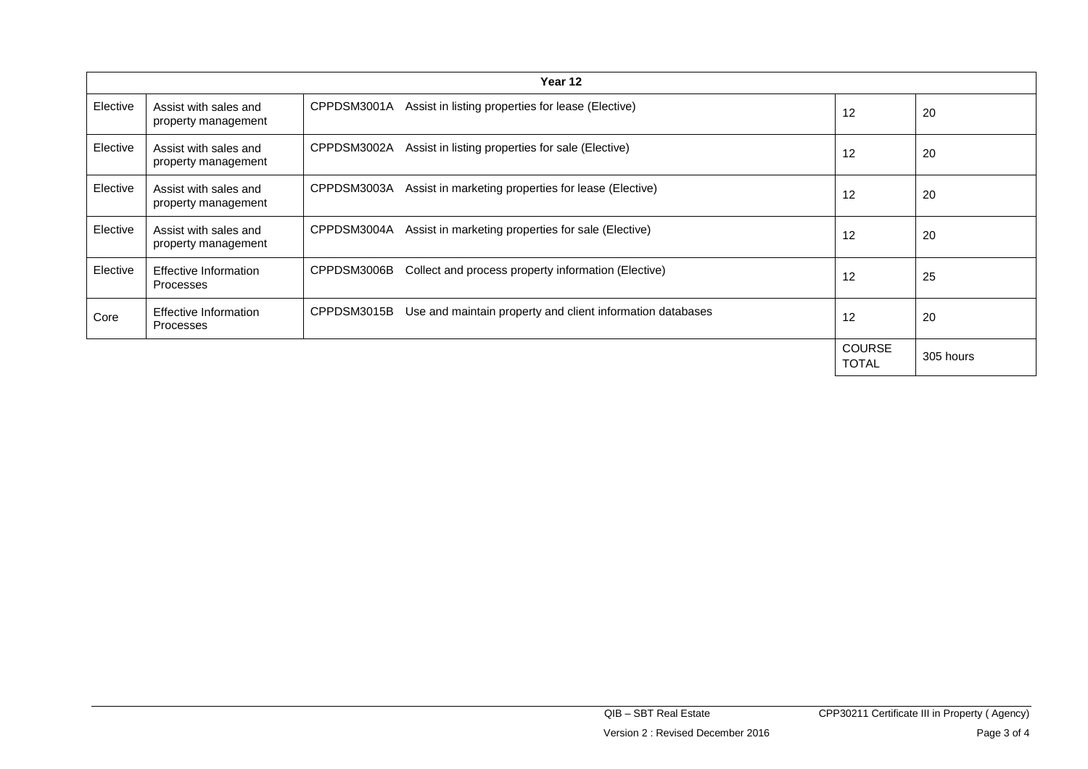| Year 12  |                                              |             |                                                            |                               |           |  |  |
|----------|----------------------------------------------|-------------|------------------------------------------------------------|-------------------------------|-----------|--|--|
| Elective | Assist with sales and<br>property management | CPPDSM3001A | Assist in listing properties for lease (Elective)          | 12                            | 20        |  |  |
| Elective | Assist with sales and<br>property management | CPPDSM3002A | Assist in listing properties for sale (Elective)           | 12                            | 20        |  |  |
| Elective | Assist with sales and<br>property management | CPPDSM3003A | Assist in marketing properties for lease (Elective)        | 12                            | 20        |  |  |
| Elective | Assist with sales and<br>property management | CPPDSM3004A | Assist in marketing properties for sale (Elective)         | 12                            | 20        |  |  |
| Elective | Effective Information<br>Processes           | CPPDSM3006B | Collect and process property information (Elective)        | 12                            | 25        |  |  |
| Core     | <b>Effective Information</b><br>Processes    | CPPDSM3015B | Use and maintain property and client information databases | 12                            | 20        |  |  |
|          |                                              |             |                                                            | <b>COURSE</b><br><b>TOTAL</b> | 305 hours |  |  |